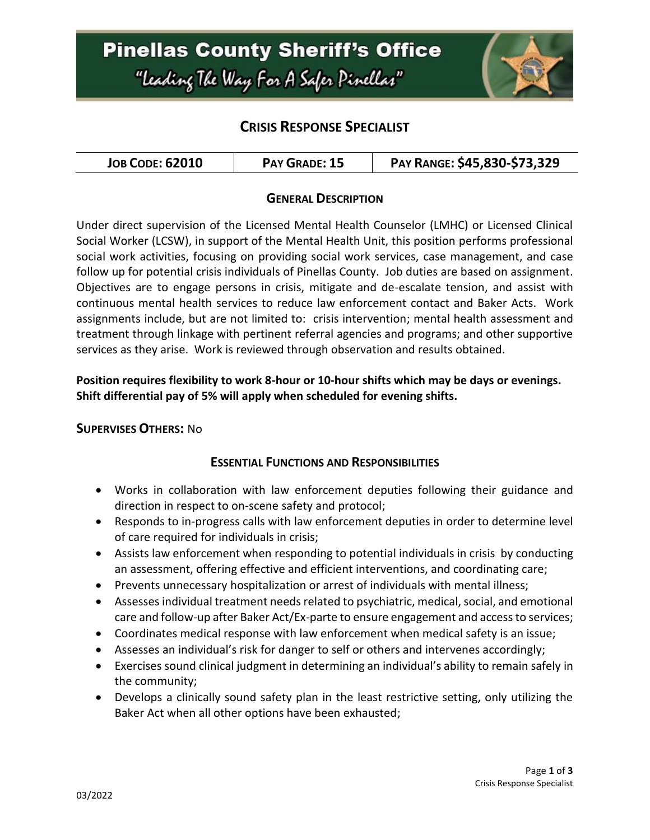

# **CRISIS RESPONSE SPECIALIST**

| <b>JOB CODE: 62010</b> | PAY GRADE: 15 | PAY RANGE: \$45,830-\$73,329 |
|------------------------|---------------|------------------------------|
|------------------------|---------------|------------------------------|

#### **GENERAL DESCRIPTION**

Under direct supervision of the Licensed Mental Health Counselor (LMHC) or Licensed Clinical Social Worker (LCSW), in support of the Mental Health Unit, this position performs professional social work activities, focusing on providing social work services, case management, and case follow up for potential crisis individuals of Pinellas County. Job duties are based on assignment. Objectives are to engage persons in crisis, mitigate and de-escalate tension, and assist with continuous mental health services to reduce law enforcement contact and Baker Acts. Work assignments include, but are not limited to: crisis intervention; mental health assessment and treatment through linkage with pertinent referral agencies and programs; and other supportive services as they arise. Work is reviewed through observation and results obtained.

#### **Position requires flexibility to work 8-hour or 10-hour shifts which may be days or evenings. Shift differential pay of 5% will apply when scheduled for evening shifts.**

#### **SUPERVISES OTHERS:** No

#### **ESSENTIAL FUNCTIONS AND RESPONSIBILITIES**

- Works in collaboration with law enforcement deputies following their guidance and direction in respect to on-scene safety and protocol;
- Responds to in-progress calls with law enforcement deputies in order to determine level of care required for individuals in crisis;
- Assists law enforcement when responding to potential individuals in crisis by conducting an assessment, offering effective and efficient interventions, and coordinating care;
- Prevents unnecessary hospitalization or arrest of individuals with mental illness;
- Assessesindividual treatment needs related to psychiatric, medical, social, and emotional care and follow-up after Baker Act/Ex-parte to ensure engagement and access to services;
- Coordinates medical response with law enforcement when medical safety is an issue;
- Assesses an individual's risk for danger to self or others and intervenes accordingly;
- Exercises sound clinical judgment in determining an individual's ability to remain safely in the community;
- Develops a clinically sound safety plan in the least restrictive setting, only utilizing the Baker Act when all other options have been exhausted;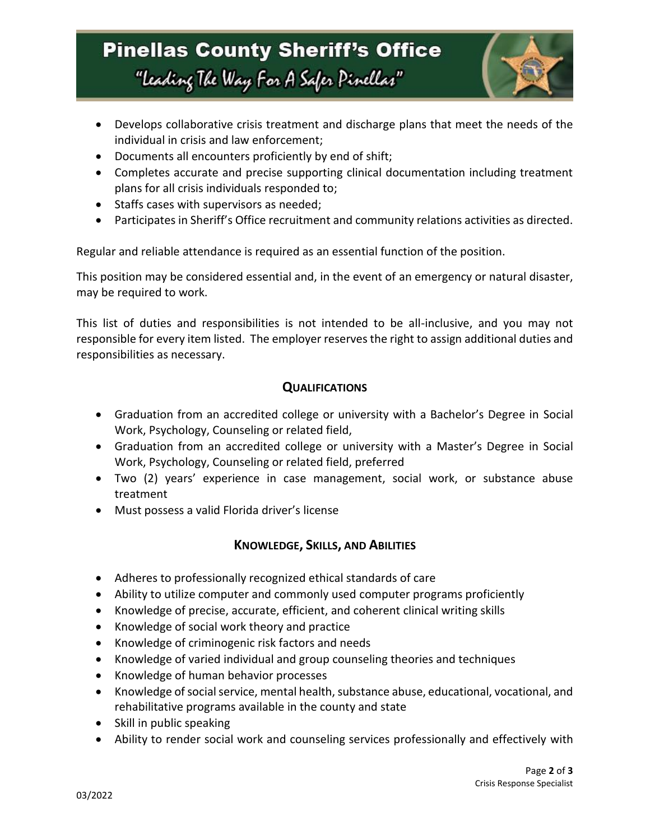# **Pinellas County Sheriff's Office** "Leading The Way For A Safer Pinellar"



- Develops collaborative crisis treatment and discharge plans that meet the needs of the individual in crisis and law enforcement;
- Documents all encounters proficiently by end of shift;
- Completes accurate and precise supporting clinical documentation including treatment plans for all crisis individuals responded to;
- Staffs cases with supervisors as needed;
- Participates in Sheriff's Office recruitment and community relations activities as directed.

Regular and reliable attendance is required as an essential function of the position.

This position may be considered essential and, in the event of an emergency or natural disaster, may be required to work.

This list of duties and responsibilities is not intended to be all-inclusive, and you may not responsible for every item listed. The employer reserves the right to assign additional duties and responsibilities as necessary.

#### **QUALIFICATIONS**

- Graduation from an accredited college or university with a Bachelor's Degree in Social Work, Psychology, Counseling or related field,
- Graduation from an accredited college or university with a Master's Degree in Social Work, Psychology, Counseling or related field, preferred
- Two (2) years' experience in case management, social work, or substance abuse treatment
- Must possess a valid Florida driver's license

## **KNOWLEDGE, SKILLS, AND ABILITIES**

- Adheres to professionally recognized ethical standards of care
- Ability to utilize computer and commonly used computer programs proficiently
- Knowledge of precise, accurate, efficient, and coherent clinical writing skills
- Knowledge of social work theory and practice
- Knowledge of criminogenic risk factors and needs
- Knowledge of varied individual and group counseling theories and techniques
- Knowledge of human behavior processes
- Knowledge of social service, mental health, substance abuse, educational, vocational, and rehabilitative programs available in the county and state
- Skill in public speaking
- Ability to render social work and counseling services professionally and effectively with